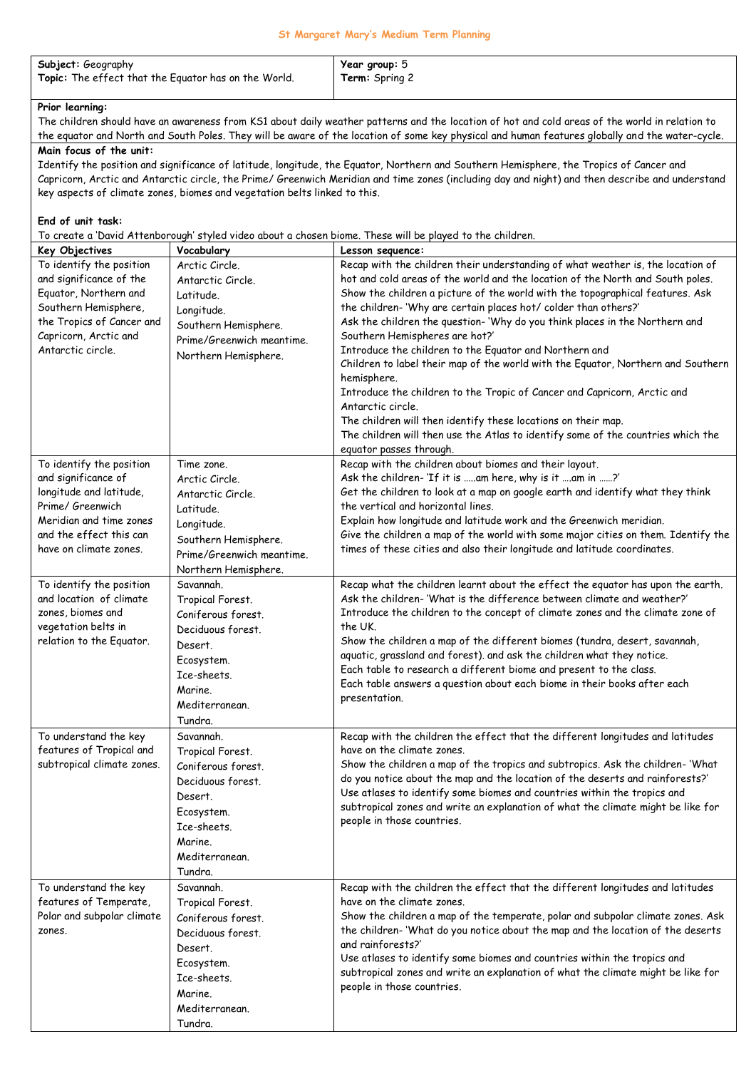## **St Margaret Mary's Medium Term Planning**

| Subject: Geography                                   | Year group: 5         |
|------------------------------------------------------|-----------------------|
| Topic: The effect that the Equator has on the World. | <b>Term:</b> Spring 2 |

## **Prior learning:**

The children should have an awareness from KS1 about daily weather patterns and the location of hot and cold areas of the world in relation to the equator and North and South Poles. They will be aware of the location of some key physical and human features globally and the water-cycle.

## **Main focus of the unit:**

Identify the position and significance of latitude, longitude, the Equator, Northern and Southern Hemisphere, the Tropics of Cancer and Capricorn, Arctic and Antarctic circle, the Prime/ Greenwich Meridian and time zones (including day and night) and then describe and understand key aspects of climate zones, biomes and vegetation belts linked to this.

## **End of unit task:**

To create a 'David Attenborough' styled video about a chosen biome. These will be played to the children.

| Key Objectives                              | Vocabulary                | Lesson sequence:                                                                                                                                         |
|---------------------------------------------|---------------------------|----------------------------------------------------------------------------------------------------------------------------------------------------------|
| To identify the position                    | Arctic Circle.            | Recap with the children their understanding of what weather is, the location of                                                                          |
| and significance of the                     | Antarctic Circle.         | hot and cold areas of the world and the location of the North and South poles.                                                                           |
| Equator, Northern and                       | Latitude.                 | Show the children a picture of the world with the topographical features. Ask                                                                            |
| Southern Hemisphere,                        | Longitude.                | the children-'Why are certain places hot/ colder than others?'                                                                                           |
| the Tropics of Cancer and                   | Southern Hemisphere.      | Ask the children the question-'Why do you think places in the Northern and                                                                               |
| Capricorn, Arctic and                       | Prime/Greenwich meantime. | Southern Hemispheres are hot?'                                                                                                                           |
| Antarctic circle.                           | Northern Hemisphere.      | Introduce the children to the Equator and Northern and                                                                                                   |
|                                             |                           | Children to label their map of the world with the Equator, Northern and Southern                                                                         |
|                                             |                           | hemisphere.                                                                                                                                              |
|                                             |                           | Introduce the children to the Tropic of Cancer and Capricorn, Arctic and                                                                                 |
|                                             |                           | Antarctic circle.                                                                                                                                        |
|                                             |                           | The children will then identify these locations on their map.                                                                                            |
|                                             |                           | The children will then use the Atlas to identify some of the countries which the                                                                         |
|                                             |                           | equator passes through.                                                                                                                                  |
| To identify the position                    | Time zone.                | Recap with the children about biomes and their layout.                                                                                                   |
| and significance of                         | Arctic Circle.            | Ask the children-'If it is am here, why is it am in ?'                                                                                                   |
| longitude and latitude,<br>Prime/ Greenwich | Antarctic Circle.         | Get the children to look at a map on google earth and identify what they think                                                                           |
| Meridian and time zones                     | Latitude.                 | the vertical and horizontal lines.                                                                                                                       |
| and the effect this can                     | Longitude.                | Explain how longitude and latitude work and the Greenwich meridian.<br>Give the children a map of the world with some major cities on them. Identify the |
| have on climate zones.                      | Southern Hemisphere.      | times of these cities and also their longitude and latitude coordinates.                                                                                 |
|                                             | Prime/Greenwich meantime. |                                                                                                                                                          |
|                                             | Northern Hemisphere.      |                                                                                                                                                          |
| To identify the position                    | Savannah.                 | Recap what the children learnt about the effect the equator has upon the earth.                                                                          |
| and location of climate                     | Tropical Forest.          | Ask the children-'What is the difference between climate and weather?'                                                                                   |
| zones, biomes and                           | Coniferous forest.        | Introduce the children to the concept of climate zones and the climate zone of                                                                           |
| vegetation belts in                         | Deciduous forest.         | the UK.                                                                                                                                                  |
| relation to the Equator.                    | Desert.                   | Show the children a map of the different biomes (tundra, desert, savannah,                                                                               |
|                                             | Ecosystem.                | aquatic, grassland and forest). and ask the children what they notice.                                                                                   |
|                                             | Ice-sheets.               | Each table to research a different biome and present to the class.                                                                                       |
|                                             | Marine.                   | Each table answers a question about each biome in their books after each                                                                                 |
|                                             | Mediterranean.            | presentation.                                                                                                                                            |
|                                             | Tundra.                   |                                                                                                                                                          |
| To understand the key                       | Savannah.                 | Recap with the children the effect that the different longitudes and latitudes                                                                           |
| features of Tropical and                    | Tropical Forest.          | have on the climate zones.                                                                                                                               |
| subtropical climate zones.                  | Coniferous forest.        | Show the children a map of the tropics and subtropics. Ask the children- 'What                                                                           |
|                                             | Deciduous forest.         | do you notice about the map and the location of the deserts and rainforests?'                                                                            |
|                                             | Desert.                   | Use atlases to identify some biomes and countries within the tropics and                                                                                 |
|                                             | Ecosystem.                | subtropical zones and write an explanation of what the climate might be like for                                                                         |
|                                             | Ice-sheets.               | people in those countries.                                                                                                                               |
|                                             | Marine.                   |                                                                                                                                                          |
|                                             | Mediterranean.            |                                                                                                                                                          |
|                                             | Tundra.                   |                                                                                                                                                          |
| To understand the key                       | Savannah.                 | Recap with the children the effect that the different longitudes and latitudes                                                                           |
| features of Temperate,                      | Tropical Forest.          | have on the climate zones.                                                                                                                               |
| Polar and subpolar climate                  | Coniferous forest.        | Show the children a map of the temperate, polar and subpolar climate zones. Ask                                                                          |
| zones.                                      | Deciduous forest.         | the children-'What do you notice about the map and the location of the deserts                                                                           |
|                                             |                           | and rainforests?'                                                                                                                                        |
|                                             | Desert.                   | Use atlases to identify some biomes and countries within the tropics and                                                                                 |
|                                             | Ecosystem.                | subtropical zones and write an explanation of what the climate might be like for                                                                         |
|                                             | Ice-sheets.               | people in those countries.                                                                                                                               |
|                                             | Marine.                   |                                                                                                                                                          |
|                                             | Mediterranean.            |                                                                                                                                                          |
|                                             | Tundra.                   |                                                                                                                                                          |